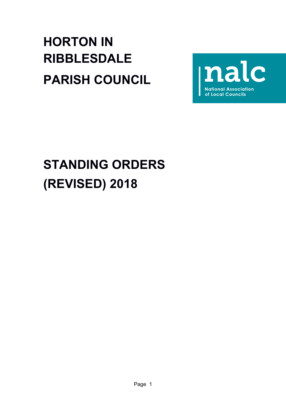# **HORTON IN RIBBLESDALE PARISH COUNCIL**



# **STANDING ORDERS (REVISED) 2018**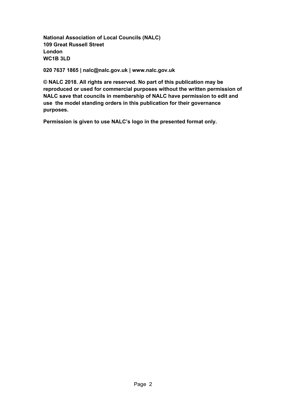**National Association of Local Councils (NALC) 109 Great Russell Street London WC1B 3LD**

**020 7637 1865 | nalc@nalc.gov.uk | www.nalc.gov.uk**

**© NALC 2018. All rights are reserved. No part of this publication may be reproduced or used for commercial purposes without the written permission of NALC save that councils in membership of NALC have permission to edit and use the model standing orders in this publication for their governance purposes.** 

**Permission is given to use NALC's logo in the presented format only.**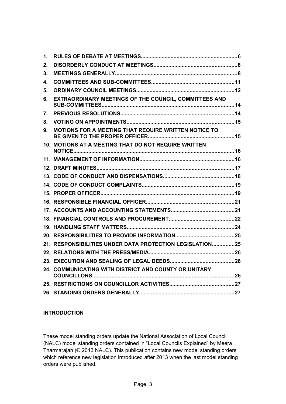| 1. |                                                          |  |
|----|----------------------------------------------------------|--|
| 2. |                                                          |  |
| 3. |                                                          |  |
| 4. |                                                          |  |
| 5. |                                                          |  |
| 6. | EXTRAORDINARY MEETINGS OF THE COUNCIL, COMMITTEES AND    |  |
| 7. |                                                          |  |
| 8. |                                                          |  |
| 9. | MOTIONS FOR A MEETING THAT REQUIRE WRITTEN NOTICE TO     |  |
|    | 10. MOTIONS AT A MEETING THAT DO NOT REQUIRE WRITTEN     |  |
|    |                                                          |  |
|    |                                                          |  |
|    |                                                          |  |
|    |                                                          |  |
|    |                                                          |  |
|    |                                                          |  |
|    |                                                          |  |
|    |                                                          |  |
|    |                                                          |  |
|    |                                                          |  |
|    | 21. RESPONSIBILITIES UNDER DATA PROTECTION LEGISLATION25 |  |
|    |                                                          |  |
|    |                                                          |  |
|    | 24. COMMUNICATING WITH DISTRICT AND COUNTY OR UNITARY    |  |
|    |                                                          |  |
|    |                                                          |  |

# **INTRODUCTION**

These model standing orders update the National Association of Local Council (NALC) model standing orders contained in "Local Councils Explained" by Meera Tharmarajah (© 2013 NALC). This publication contains new model standing orders which reference new legislation introduced after 2013 when the last model standing orders were published.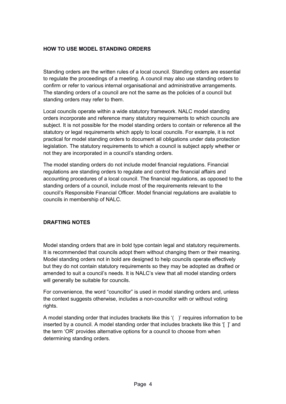# **HOW TO USE MODEL STANDING ORDERS**

Standing orders are the written rules of a local council. Standing orders are essential to regulate the proceedings of a meeting. A council may also use standing orders to confirm or refer to various internal organisational and administrative arrangements. The standing orders of a council are not the same as the policies of a council but standing orders may refer to them.

Local councils operate within a wide statutory framework. NALC model standing orders incorporate and reference many statutory requirements to which councils are subject. It is not possible for the model standing orders to contain or reference all the statutory or legal requirements which apply to local councils. For example, it is not practical for model standing orders to document all obligations under data protection legislation. The statutory requirements to which a council is subject apply whether or not they are incorporated in a council's standing orders.

The model standing orders do not include model financial regulations. Financial regulations are standing orders to regulate and control the financial affairs and accounting procedures of a local council. The financial regulations, as opposed to the standing orders of a council, include most of the requirements relevant to the council's Responsible Financial Officer. Model financial regulations are available to councils in membership of NALC.

#### **DRAFTING NOTES**

Model standing orders that are in bold type contain legal and statutory requirements. It is recommended that councils adopt them without changing them or their meaning. Model standing orders not in bold are designed to help councils operate effectively but they do not contain statutory requirements so they may be adopted as drafted or amended to suit a council's needs. It is NALC's view that all model standing orders will generally be suitable for councils.

For convenience, the word "councillor" is used in model standing orders and, unless the context suggests otherwise, includes a non-councillor with or without voting rights.

A model standing order that includes brackets like this '( )' requires information to be inserted by a council. A model standing order that includes brackets like this '[ ]' and the term 'OR' provides alternative options for a council to choose from when determining standing orders.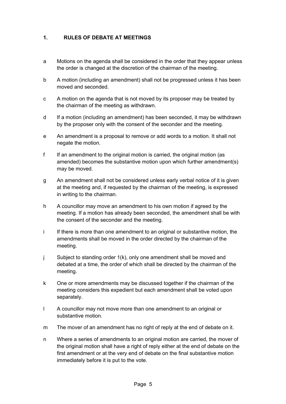# <span id="page-4-0"></span>**1. RULES OF DEBATE AT MEETINGS**

- a Motions on the agenda shall be considered in the order that they appear unless the order is changed at the discretion of the chairman of the meeting.
- b A motion (including an amendment) shall not be progressed unless it has been moved and seconded.
- c A motion on the agenda that is not moved by its proposer may be treated by the chairman of the meeting as withdrawn.
- d If a motion (including an amendment) has been seconded, it may be withdrawn by the proposer only with the consent of the seconder and the meeting.
- e An amendment is a proposal to remove or add words to a motion. It shall not negate the motion.
- f If an amendment to the original motion is carried, the original motion (as amended) becomes the substantive motion upon which further amendment(s) may be moved.
- g An amendment shall not be considered unless early verbal notice of it is given at the meeting and, if requested by the chairman of the meeting, is expressed in writing to the chairman.
- h A councillor may move an amendment to his own motion if agreed by the meeting. If a motion has already been seconded, the amendment shall be with the consent of the seconder and the meeting.
- i If there is more than one amendment to an original or substantive motion, the amendments shall be moved in the order directed by the chairman of the meeting.
- j Subject to standing order 1(k), only one amendment shall be moved and debated at a time, the order of which shall be directed by the chairman of the meeting.
- k One or more amendments may be discussed together if the chairman of the meeting considers this expedient but each amendment shall be voted upon separately.
- l A councillor may not move more than one amendment to an original or substantive motion.
- m The mover of an amendment has no right of reply at the end of debate on it.
- n Where a series of amendments to an original motion are carried, the mover of the original motion shall have a right of reply either at the end of debate on the first amendment or at the very end of debate on the final substantive motion immediately before it is put to the vote.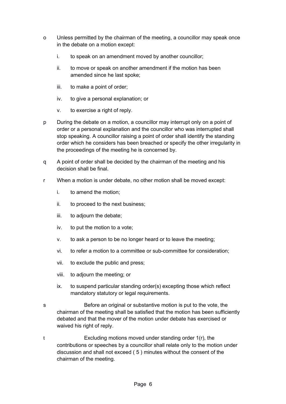- o Unless permitted by the chairman of the meeting, a councillor may speak once in the debate on a motion except:
	- i. to speak on an amendment moved by another councillor;
	- ii. to move or speak on another amendment if the motion has been amended since he last spoke;
	- iii. to make a point of order;
	- iv. to give a personal explanation; or
	- v. to exercise a right of reply.
- p During the debate on a motion, a councillor may interrupt only on a point of order or a personal explanation and the councillor who was interrupted shall stop speaking. A councillor raising a point of order shall identify the standing order which he considers has been breached or specify the other irregularity in the proceedings of the meeting he is concerned by.
- q A point of order shall be decided by the chairman of the meeting and his decision shall be final.
- r When a motion is under debate, no other motion shall be moved except:
	- i. to amend the motion;
	- ii. to proceed to the next business;
	- iii. to adjourn the debate;
	- iv. to put the motion to a vote;
	- v. to ask a person to be no longer heard or to leave the meeting;
	- vi. to refer a motion to a committee or sub-committee for consideration;
	- vii. to exclude the public and press;
	- viii. to adjourn the meeting; or
	- ix. to suspend particular standing order(s) excepting those which reflect mandatory statutory or legal requirements.
- s Before an original or substantive motion is put to the vote, the chairman of the meeting shall be satisfied that the motion has been sufficiently debated and that the mover of the motion under debate has exercised or waived his right of reply.
- t Excluding motions moved under standing order 1(r), the contributions or speeches by a councillor shall relate only to the motion under discussion and shall not exceed ( 5 ) minutes without the consent of the chairman of the meeting.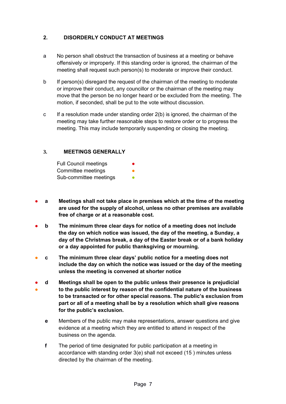# <span id="page-6-0"></span>**2. DISORDERLY CONDUCT AT MEETINGS**

- a No person shall obstruct the transaction of business at a meeting or behave offensively or improperly. If this standing order is ignored, the chairman of the meeting shall request such person(s) to moderate or improve their conduct.
- b If person(s) disregard the request of the chairman of the meeting to moderate or improve their conduct, any councillor or the chairman of the meeting may move that the person be no longer heard or be excluded from the meeting. The motion, if seconded, shall be put to the vote without discussion.
- c If a resolution made under standing order  $2(b)$  is ignored, the chairman of the meeting may take further reasonable steps to restore order or to progress the meeting. This may include temporarily suspending or closing the meeting.

# **3. MEETINGS GENERALLY**

<span id="page-6-1"></span>

| <b>Full Council meetings</b> | $\bullet$ |
|------------------------------|-----------|
| Committee meetings           | ●         |
| Sub-committee meetings       |           |

- **a Meetings shall not take place in premises which at the time of the meeting are used for the supply of alcohol, unless no other premises are available free of charge or at a reasonable cost.**
- **b The minimum three clear days for notice of a meeting does not include the day on which notice was issued, the day of the meeting, a Sunday, a day of the Christmas break, a day of the Easter break or of a bank holiday or a day appointed for public thanksgiving or mourning.**
- **c The minimum three clear days' public notice for a meeting does not include the day on which the notice was issued or the day of the meeting unless the meeting is convened at shorter notice**
- ● **d Meetings shall be open to the public unless their presence is prejudicial to the public interest by reason of the confidential nature of the business to be transacted or for other special reasons. The public's exclusion from part or all of a meeting shall be by a resolution which shall give reasons for the public's exclusion.**
	- **e** Members of the public may make representations, answer questions and give evidence at a meeting which they are entitled to attend in respect of the business on the agenda.
	- **f** The period of time designated for public participation at a meeting in accordance with standing order 3(e) shall not exceed (15 ) minutes unless directed by the chairman of the meeting.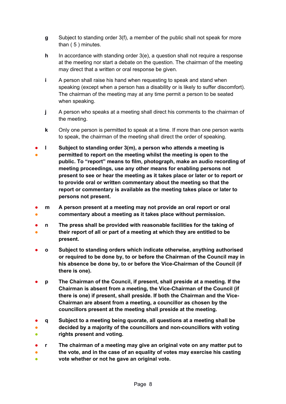- **g** Subject to standing order 3(f), a member of the public shall not speak for more than ( 5 ) minutes.
- **h** In accordance with standing order 3(e), a question shall not require a response at the meeting nor start a debate on the question. The chairman of the meeting may direct that a written or oral response be given.
- **i** A person shall raise his hand when requesting to speak and stand when speaking (except when a person has a disability or is likely to suffer discomfort). The chairman of the meeting may at any time permit a person to be seated when speaking.
- **j** A person who speaks at a meeting shall direct his comments to the chairman of the meeting.
- **k** Only one person is permitted to speak at a time. If more than one person wants to speak, the chairman of the meeting shall direct the order of speaking.
- ● **l Subject to standing order 3(m), a person who attends a meeting is permitted to report on the meeting whilst the meeting is open to the public. To "report" means to film, photograph, make an audio recording of meeting proceedings, use any other means for enabling persons not present to see or hear the meeting as it takes place or later or to report or to provide oral or written commentary about the meeting so that the report or commentary is available as the meeting takes place or later to persons not present.**
- ● **m A person present at a meeting may not provide an oral report or oral commentary about a meeting as it takes place without permission.**
- ● **n The press shall be provided with reasonable facilities for the taking of their report of all or part of a meeting at which they are entitled to be present.**
- **o Subject to standing orders which indicate otherwise, anything authorised or required to be done by, to or before the Chairman of the Council may in his absence be done by, to or before the Vice-Chairman of the Council (if there is one).**
- **p The Chairman of the Council, if present, shall preside at a meeting. If the Chairman is absent from a meeting, the Vice-Chairman of the Council (if there is one) if present, shall preside. If both the Chairman and the Vice-Chairman are absent from a meeting, a councillor as chosen by the councillors present at the meeting shall preside at the meeting.**
- **q Subject to a meeting being quorate, all questions at a meeting shall be**
- ● **decided by a majority of the councillors and non-councillors with voting rights present and voting.**
- **r The chairman of a meeting may give an original vote on any matter put to**
- **the vote, and in the case of an equality of votes may exercise his casting**
- **vote whether or not he gave an original vote.**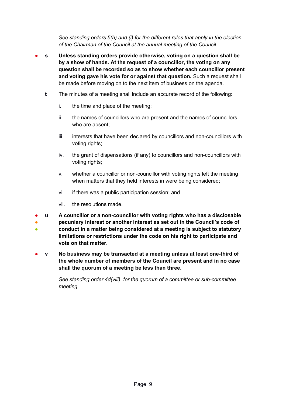*See standing orders 5(h) and (i) for the different rules that apply in the election of the Chairman of the Council at the annual meeting of the Council.*

- **s Unless standing orders provide otherwise, voting on a question shall be by a show of hands. At the request of a councillor, the voting on any question shall be recorded so as to show whether each councillor present and voting gave his vote for or against that question.** Such a request shall be made before moving on to the next item of business on the agenda.
	- **t** The minutes of a meeting shall include an accurate record of the following:
		- i. the time and place of the meeting;
		- ii. the names of councillors who are present and the names of councillors who are absent;
		- iii. interests that have been declared by councillors and non-councillors with voting rights;
		- iv. the grant of dispensations (if any) to councillors and non-councillors with voting rights;
		- v. whether a councillor or non-councillor with voting rights left the meeting when matters that they held interests in were being considered;
		- vi. if there was a public participation session; and
		- vii. the resolutions made.
- **u A councillor or a non-councillor with voting rights who has a disclosable**
- ● **pecuniary interest or another interest as set out in the Council's code of conduct in a matter being considered at a meeting is subject to statutory limitations or restrictions under the code on his right to participate and vote on that matter.**
- **v No business may be transacted at a meeting unless at least one-third of the whole number of members of the Council are present and in no case shall the quorum of a meeting be less than three.**

*See standing order 4d(viii) for the quorum of a committee or sub-committee meeting.*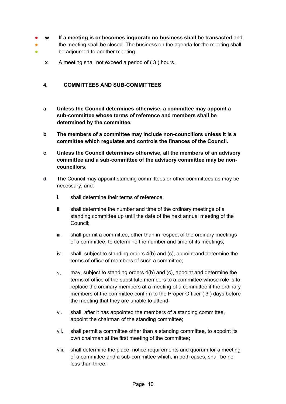- **w If a meeting is or becomes inquorate no business shall be transacted** and
- ● the meeting shall be closed. The business on the agenda for the meeting shall be adjourned to another meeting.
	- **x** A meeting shall not exceed a period of ( 3 ) hours.

# <span id="page-9-0"></span>**4. COMMITTEES AND SUB-COMMITTEES**

- **a Unless the Council determines otherwise, a committee may appoint a sub-committee whose terms of reference and members shall be determined by the committee.**
- **b The members of a committee may include non-councillors unless it is a committee which regulates and controls the finances of the Council.**
- **c Unless the Council determines otherwise, all the members of an advisory committee and a sub-committee of the advisory committee may be noncouncillors.**
- **d** The Council may appoint standing committees or other committees as may be necessary, and:
	- i. shall determine their terms of reference;
	- ii. shall determine the number and time of the ordinary meetings of a standing committee up until the date of the next annual meeting of the Council;
	- iii. shall permit a committee, other than in respect of the ordinary meetings of a committee, to determine the number and time of its meetings;
	- iv. shall, subject to standing orders 4(b) and (c), appoint and determine the terms of office of members of such a committee;
	- v. may, subject to standing orders 4(b) and (c), appoint and determine the terms of office of the substitute members to a committee whose role is to replace the ordinary members at a meeting of a committee if the ordinary members of the committee confirm to the Proper Officer ( 3 ) days before the meeting that they are unable to attend;
	- vi. shall, after it has appointed the members of a standing committee, appoint the chairman of the standing committee;
	- vii. shall permit a committee other than a standing committee, to appoint its own chairman at the first meeting of the committee;
	- viii. shall determine the place, notice requirements and quorum for a meeting of a committee and a sub-committee which, in both cases, shall be no less than three;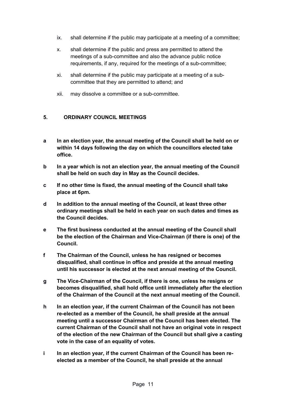- ix. shall determine if the public may participate at a meeting of a committee;
- x. shall determine if the public and press are permitted to attend the meetings of a sub-committee and also the advance public notice requirements, if any, required for the meetings of a sub-committee;
- xi. shall determine if the public may participate at a meeting of a subcommittee that they are permitted to attend; and
- xii. may dissolve a committee or a sub-committee.

# <span id="page-10-0"></span>**5. ORDINARY COUNCIL MEETINGS**

- **a In an election year, the annual meeting of the Council shall be held on or within 14 days following the day on which the councillors elected take office.**
- **b In a year which is not an election year, the annual meeting of the Council shall be held on such day in May as the Council decides.**
- **c If no other time is fixed, the annual meeting of the Council shall take place at 6pm.**
- **d In addition to the annual meeting of the Council, at least three other ordinary meetings shall be held in each year on such dates and times as the Council decides.**
- **e The first business conducted at the annual meeting of the Council shall be the election of the Chairman and Vice-Chairman (if there is one) of the Council.**
- **f The Chairman of the Council, unless he has resigned or becomes disqualified, shall continue in office and preside at the annual meeting until his successor is elected at the next annual meeting of the Council.**
- **g The Vice-Chairman of the Council, if there is one, unless he resigns or becomes disqualified, shall hold office until immediately after the election of the Chairman of the Council at the next annual meeting of the Council.**
- **h In an election year, if the current Chairman of the Council has not been re-elected as a member of the Council, he shall preside at the annual meeting until a successor Chairman of the Council has been elected. The current Chairman of the Council shall not have an original vote in respect of the election of the new Chairman of the Council but shall give a casting vote in the case of an equality of votes.**
- **i In an election year, if the current Chairman of the Council has been reelected as a member of the Council, he shall preside at the annual**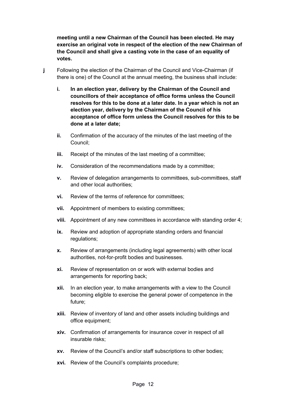**meeting until a new Chairman of the Council has been elected. He may exercise an original vote in respect of the election of the new Chairman of the Council and shall give a casting vote in the case of an equality of votes.**

- **j** Following the election of the Chairman of the Council and Vice-Chairman (if there is one) of the Council at the annual meeting, the business shall include:
	- **i. In an election year, delivery by the Chairman of the Council and councillors of their acceptance of office forms unless the Council resolves for this to be done at a later date. In a year which is not an election year, delivery by the Chairman of the Council of his acceptance of office form unless the Council resolves for this to be done at a later date;**
	- **ii.** Confirmation of the accuracy of the minutes of the last meeting of the Council;
	- **iii.** Receipt of the minutes of the last meeting of a committee;
	- **iv.** Consideration of the recommendations made by a committee;
	- **v.** Review of delegation arrangements to committees, sub-committees, staff and other local authorities;
	- **vi.** Review of the terms of reference for committees;
	- **vii.** Appointment of members to existing committees;
	- **viii.** Appointment of any new committees in accordance with standing order 4;
	- **ix.** Review and adoption of appropriate standing orders and financial regulations;
	- **x.** Review of arrangements (including legal agreements) with other local authorities, not-for-profit bodies and businesses.
	- **xi.** Review of representation on or work with external bodies and arrangements for reporting back;
	- **xii.** In an election year, to make arrangements with a view to the Council becoming eligible to exercise the general power of competence in the future;
	- **xiii.** Review of inventory of land and other assets including buildings and office equipment;
	- **xiv.** Confirmation of arrangements for insurance cover in respect of all insurable risks;
	- **xv.** Review of the Council's and/or staff subscriptions to other bodies;
	- **xvi.** Review of the Council's complaints procedure;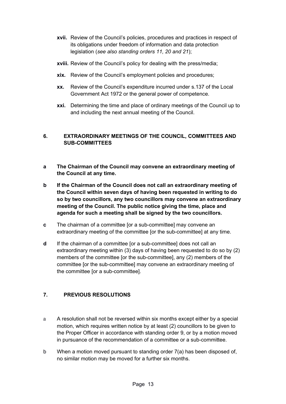- **xvii.** Review of the Council's policies, procedures and practices in respect of its obligations under freedom of information and data protection legislation (*see also standing orders 11, 20 and 21*);
- **xviii.** Review of the Council's policy for dealing with the press/media;
- **xix.** Review of the Council's employment policies and procedures;
- **xx.** Review of the Council's expenditure incurred under s.137 of the Local Government Act 1972 or the general power of competence.
- **xxi.** Determining the time and place of ordinary meetings of the Council up to and including the next annual meeting of the Council.

# <span id="page-12-0"></span>**6. EXTRAORDINARY MEETINGS OF THE COUNCIL, COMMITTEES AND SUB-COMMITTEES**

- **a The Chairman of the Council may convene an extraordinary meeting of the Council at any time.**
- **b If the Chairman of the Council does not call an extraordinary meeting of the Council within seven days of having been requested in writing to do so by two councillors, any two councillors may convene an extraordinary meeting of the Council. The public notice giving the time, place and agenda for such a meeting shall be signed by the two councillors.**
- **c** The chairman of a committee [or a sub-committee] may convene an extraordinary meeting of the committee [or the sub-committee] at any time.
- **d** If the chairman of a committee [or a sub-committee] does not call an extraordinary meeting within (3) days of having been requested to do so by (2) members of the committee [or the sub-committee], any (2) members of the committee [or the sub-committee] may convene an extraordinary meeting of the committee [or a sub-committee].

# <span id="page-12-1"></span>**7. PREVIOUS RESOLUTIONS**

- a A resolution shall not be reversed within six months except either by a special motion, which requires written notice by at least (2) councillors to be given to the Proper Officer in accordance with standing order 9, or by a motion moved in pursuance of the recommendation of a committee or a sub-committee.
- b When a motion moved pursuant to standing order 7(a) has been disposed of, no similar motion may be moved for a further six months.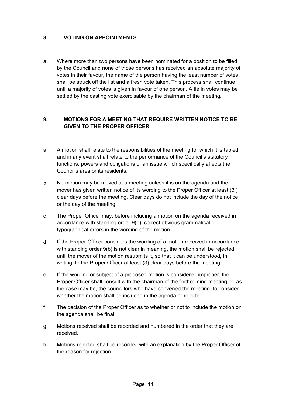### <span id="page-13-0"></span>**8. VOTING ON APPOINTMENTS**

a Where more than two persons have been nominated for a position to be filled by the Council and none of those persons has received an absolute majority of votes in their favour, the name of the person having the least number of votes shall be struck off the list and a fresh vote taken. This process shall continue until a majority of votes is given in favour of one person. A tie in votes may be settled by the casting vote exercisable by the chairman of the meeting.

# <span id="page-13-1"></span>**9. MOTIONS FOR A MEETING THAT REQUIRE WRITTEN NOTICE TO BE GIVEN TO THE PROPER OFFICER**

- a A motion shall relate to the responsibilities of the meeting for which it is tabled and in any event shall relate to the performance of the Council's statutory functions, powers and obligations or an issue which specifically affects the Council's area or its residents.
- b No motion may be moved at a meeting unless it is on the agenda and the mover has given written notice of its wording to the Proper Officer at least (3 ) clear days before the meeting. Clear days do not include the day of the notice or the day of the meeting.
- c The Proper Officer may, before including a motion on the agenda received in accordance with standing order 9(b), correct obvious grammatical or typographical errors in the wording of the motion.
- d If the Proper Officer considers the wording of a motion received in accordance with standing order 9(b) is not clear in meaning, the motion shall be rejected until the mover of the motion resubmits it, so that it can be understood, in writing, to the Proper Officer at least (3) clear days before the meeting.
- e If the wording or subject of a proposed motion is considered improper, the Proper Officer shall consult with the chairman of the forthcoming meeting or, as the case may be, the councillors who have convened the meeting, to consider whether the motion shall be included in the agenda or rejected.
- f The decision of the Proper Officer as to whether or not to include the motion on the agenda shall be final.
- g Motions received shall be recorded and numbered in the order that they are received.
- h Motions rejected shall be recorded with an explanation by the Proper Officer of the reason for rejection.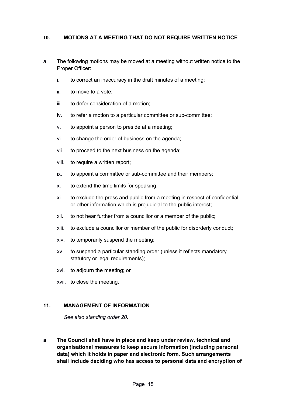#### <span id="page-14-0"></span>**10. MOTIONS AT A MEETING THAT DO NOT REQUIRE WRITTEN NOTICE**

- a The following motions may be moved at a meeting without written notice to the Proper Officer:
	- i. to correct an inaccuracy in the draft minutes of a meeting;
	- ii. to move to a vote;
	- iii. to defer consideration of a motion;
	- iv. to refer a motion to a particular committee or sub-committee;
	- v. to appoint a person to preside at a meeting;
	- vi. to change the order of business on the agenda;
	- vii. to proceed to the next business on the agenda;
	- viii. to require a written report;
	- ix. to appoint a committee or sub-committee and their members;
	- x. to extend the time limits for speaking;
	- xi. to exclude the press and public from a meeting in respect of confidential or other information which is prejudicial to the public interest;
	- xii. to not hear further from a councillor or a member of the public;
	- xiii. to exclude a councillor or member of the public for disorderly conduct;
	- xiv. to temporarily suspend the meeting;
	- xv. to suspend a particular standing order (unless it reflects mandatory statutory or legal requirements);
	- xvi. to adjourn the meeting; or
	- xvii. to close the meeting.

#### **11. MANAGEMENT OF INFORMATION**

<span id="page-14-1"></span>*See also standing order 20.*

**a The Council shall have in place and keep under review, technical and organisational measures to keep secure information (including personal data) which it holds in paper and electronic form. Such arrangements shall include deciding who has access to personal data and encryption of**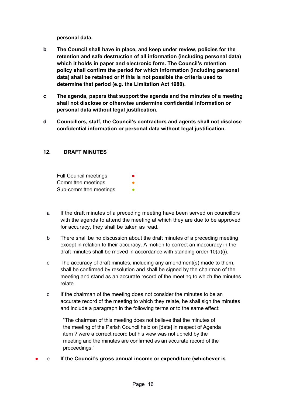**personal data.** 

- **b The Council shall have in place, and keep under review, policies for the retention and safe destruction of all information (including personal data) which it holds in paper and electronic form. The Council's retention policy shall confirm the period for which information (including personal data) shall be retained or if this is not possible the criteria used to determine that period (e.g. the Limitation Act 1980).**
- **c The agenda, papers that support the agenda and the minutes of a meeting shall not disclose or otherwise undermine confidential information or personal data without legal justification.**
- **d Councillors, staff, the Council's contractors and agents shall not disclose confidential information or personal data without legal justification.**

#### <span id="page-15-0"></span>**12. DRAFT MINUTES**

Full Council meetings Committee meetings Sub-committee meetings

- a If the draft minutes of a preceding meeting have been served on councillors with the agenda to attend the meeting at which they are due to be approved for accuracy, they shall be taken as read.
- b There shall be no discussion about the draft minutes of a preceding meeting except in relation to their accuracy. A motion to correct an inaccuracy in the draft minutes shall be moved in accordance with standing order  $10(a)(i)$ .
- c The accuracy of draft minutes, including any amendment(s) made to them, shall be confirmed by resolution and shall be signed by the chairman of the meeting and stand as an accurate record of the meeting to which the minutes relate.
- d If the chairman of the meeting does not consider the minutes to be an accurate record of the meeting to which they relate, he shall sign the minutes and include a paragraph in the following terms or to the same effect:

"The chairman of this meeting does not believe that the minutes of the meeting of the Parish Council held on [date] in respect of Agenda item ? were a correct record but his view was not upheld by the meeting and the minutes are confirmed as an accurate record of the proceedings."

● e **If the Council's gross annual income or expenditure (whichever is**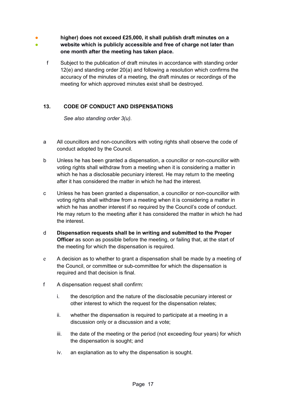- 。<br>● **higher) does not exceed £25,000, it shall publish draft minutes on a website which is publicly accessible and free of charge not later than one month after the meeting has taken place.**
	- f Subject to the publication of draft minutes in accordance with standing order 12(e) and standing order 20(a) and following a resolution which confirms the accuracy of the minutes of a meeting, the draft minutes or recordings of the meeting for which approved minutes exist shall be destroyed.

# **13. CODE OF CONDUCT AND DISPENSATIONS**

<span id="page-16-0"></span>*See also standing order 3(u).* 

- a All councillors and non-councillors with voting rights shall observe the code of conduct adopted by the Council.
- b Unless he has been granted a dispensation, a councillor or non-councillor with voting rights shall withdraw from a meeting when it is considering a matter in which he has a disclosable pecuniary interest. He may return to the meeting after it has considered the matter in which he had the interest.
- c Unless he has been granted a dispensation, a councillor or non-councillor with voting rights shall withdraw from a meeting when it is considering a matter in which he has another interest if so required by the Council's code of conduct. He may return to the meeting after it has considered the matter in which he had the interest.
- d **Dispensation requests shall be in writing and submitted to the Proper Officer** as soon as possible before the meeting, or failing that, at the start of the meeting for which the dispensation is required.
- e A decision as to whether to grant a dispensation shall be made by a meeting of the Council, or committee or sub-committee for which the dispensation is required and that decision is final.
- f A dispensation request shall confirm:
	- i. the description and the nature of the disclosable pecuniary interest or other interest to which the request for the dispensation relates;
	- ii. whether the dispensation is required to participate at a meeting in a discussion only or a discussion and a vote;
	- iii. the date of the meeting or the period (not exceeding four years) for which the dispensation is sought; and
	- iv. an explanation as to why the dispensation is sought.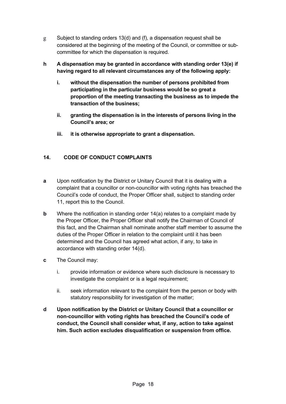- g Subject to standing orders 13(d) and (f), a dispensation request shall be considered at the beginning of the meeting of the Council, or committee or subcommittee for which the dispensation is required.
- **h A dispensation may be granted in accordance with standing order 13(e) if having regard to all relevant circumstances any of the following apply:**
	- **i. without the dispensation the number of persons prohibited from participating in the particular business would be so great a proportion of the meeting transacting the business as to impede the transaction of the business;**
	- **ii. granting the dispensation is in the interests of persons living in the Council's area; or**
	- **iii. it is otherwise appropriate to grant a dispensation.**

# <span id="page-17-0"></span>**14. CODE OF CONDUCT COMPLAINTS**

- **a** Upon notification by the District or Unitary Council that it is dealing with a complaint that a councillor or non-councillor with voting rights has breached the Council's code of conduct, the Proper Officer shall, subject to standing order 11, report this to the Council.
- **b** Where the notification in standing order 14(a) relates to a complaint made by the Proper Officer, the Proper Officer shall notify the Chairman of Council of this fact, and the Chairman shall nominate another staff member to assume the duties of the Proper Officer in relation to the complaint until it has been determined and the Council has agreed what action, if any, to take in accordance with standing order 14(d).
- **c** The Council may:
	- i. provide information or evidence where such disclosure is necessary to investigate the complaint or is a legal requirement;
	- ii. seek information relevant to the complaint from the person or body with statutory responsibility for investigation of the matter;
- **d Upon notification by the District or Unitary Council that a councillor or non-councillor with voting rights has breached the Council's code of conduct, the Council shall consider what, if any, action to take against him. Such action excludes disqualification or suspension from office.**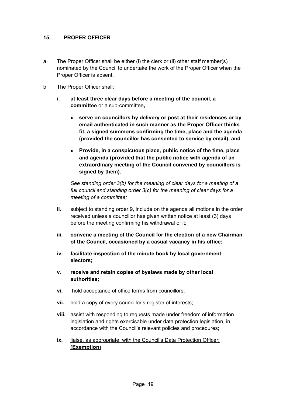### <span id="page-18-0"></span>**15. PROPER OFFICER**

- a The Proper Officer shall be either (i) the clerk or (ii) other staff member(s) nominated by the Council to undertake the work of the Proper Officer when the Proper Officer is absent.
- b The Proper Officer shall:
	- **i. at least three clear days before a meeting of the council, a committee** or a sub-committee**,**
		- **serve on councillors by delivery or post at their residences or by email authenticated in such manner as the Proper Officer thinks fit, a signed summons confirming the time, place and the agenda (provided the councillor has consented to service by email), and**
		- **Provide, in a conspicuous place, public notice of the time, place and agenda (provided that the public notice with agenda of an extraordinary meeting of the Council convened by councillors is signed by them).**

*See standing order 3(b) for the meaning of clear days for a meeting of a*  full council and standing order 3(c) for the meaning of clear days for a *meeting of a committee;*

- **ii.** subject to standing order 9, include on the agenda all motions in the order received unless a councillor has given written notice at least (3) days before the meeting confirming his withdrawal of it;
- **iii. convene a meeting of the Council for the election of a new Chairman of the Council, occasioned by a casual vacancy in his office;**
- **iv. facilitate inspection of the minute book by local government electors;**
- **v. receive and retain copies of byelaws made by other local authorities;**
- **vi.** hold acceptance of office forms from councillors;
- **vii.** hold a copy of every councillor's register of interests;
- **viii.** assist with responding to requests made under freedom of information legislation and rights exercisable under data protection legislation, in accordance with the Council's relevant policies and procedures;
- **ix.** liaise, as appropriate, with the Council's Data Protection Officer; ( **Exemption** )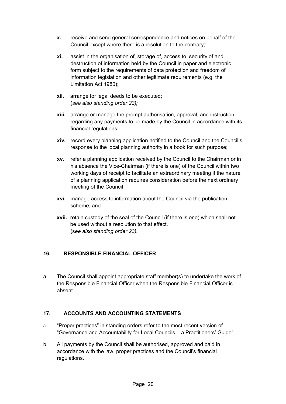- **x.** receive and send general correspondence and notices on behalf of the Council except where there is a resolution to the contrary;
- **xi.** assist in the organisation of, storage of, access to, security of and destruction of information held by the Council in paper and electronic form subject to the requirements of data protection and freedom of information legislation and other legitimate requirements (e.g. the Limitation Act 1980);
- **xii.** arrange for legal deeds to be executed; (*see also standing order 23);*
- **xiii.** arrange or manage the prompt authorisation, approval, and instruction regarding any payments to be made by the Council in accordance with its financial regulations;
- **xiv.** record every planning application notified to the Council and the Council's response to the local planning authority in a book for such purpose;
- **xv.** refer a planning application received by the Council to the Chairman or in his absence the Vice-Chairman (if there is one) of the Council within two working days of receipt to facilitate an extraordinary meeting if the nature of a planning application requires consideration before the next ordinary meeting of the Council
- **xvi.** manage access to information about the Council via the publication scheme; and
- **xvii.** retain custody of the seal of the Council (if there is one) which shall not be used without a resolution to that effect. (s*ee also standing order 23).*

# <span id="page-19-0"></span>**16. RESPONSIBLE FINANCIAL OFFICER**

a The Council shall appoint appropriate staff member(s) to undertake the work of the Responsible Financial Officer when the Responsible Financial Officer is absent.

# <span id="page-19-1"></span>**17. ACCOUNTS AND ACCOUNTING STATEMENTS**

- a "Proper practices" in standing orders refer to the most recent version of "Governance and Accountability for Local Councils – a Practitioners' Guide".
- b All payments by the Council shall be authorised, approved and paid in accordance with the law, proper practices and the Council's financial regulations.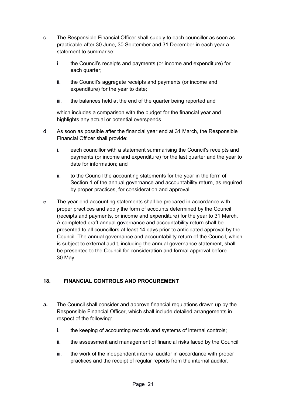- c The Responsible Financial Officer shall supply to each councillor as soon as practicable after 30 June, 30 September and 31 December in each year a statement to summarise:
	- i. the Council's receipts and payments (or income and expenditure) for each quarter;
	- ii. the Council's aggregate receipts and payments (or income and expenditure) for the year to date;
	- iii. the balances held at the end of the quarter being reported and

which includes a comparison with the budget for the financial year and highlights any actual or potential overspends.

- d As soon as possible after the financial year end at 31 March, the Responsible Financial Officer shall provide:
	- i. each councillor with a statement summarising the Council's receipts and payments (or income and expenditure) for the last quarter and the year to date for information; and
	- ii. to the Council the accounting statements for the year in the form of Section 1 of the annual governance and accountability return, as required by proper practices, for consideration and approval.
- e The year-end accounting statements shall be prepared in accordance with proper practices and apply the form of accounts determined by the Council (receipts and payments, or income and expenditure) for the year to 31 March. A completed draft annual governance and accountability return shall be presented to all councillors at least 14 days prior to anticipated approval by the Council. The annual governance and accountability return of the Council, which is subject to external audit, including the annual governance statement, shall be presented to the Council for consideration and formal approval before 30 May.

# <span id="page-20-0"></span>**18. FINANCIAL CONTROLS AND PROCUREMENT**

- **a.** The Council shall consider and approve financial regulations drawn up by the Responsible Financial Officer, which shall include detailed arrangements in respect of the following:
	- i. the keeping of accounting records and systems of internal controls;
	- ii. the assessment and management of financial risks faced by the Council;
	- iii. the work of the independent internal auditor in accordance with proper practices and the receipt of regular reports from the internal auditor,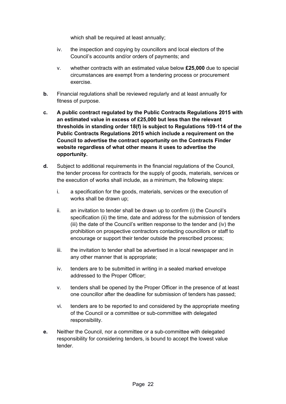which shall be required at least annually;

- iv. the inspection and copying by councillors and local electors of the Council's accounts and/or orders of payments; and
- v. whether contracts with an estimated value below **£25,000** due to special circumstances are exempt from a tendering process or procurement exercise.
- **b.** Financial regulations shall be reviewed regularly and at least annually for fitness of purpose.
- **c. A public contract regulated by the Public Contracts Regulations 2015 with an estimated value in excess of £25,000 but less than the relevant thresholds in standing order 18(f) is subject to Regulations 109-114 of the Public Contracts Regulations 2015 which include a requirement on the Council to advertise the contract opportunity on the Contracts Finder website regardless of what other means it uses to advertise the opportunity.**
- **d.** Subject to additional requirements in the financial regulations of the Council, the tender process for contracts for the supply of goods, materials, services or the execution of works shall include, as a minimum, the following steps:
	- i. a specification for the goods, materials, services or the execution of works shall be drawn up;
	- ii. an invitation to tender shall be drawn up to confirm (i) the Council's specification (ii) the time, date and address for the submission of tenders (iii) the date of the Council's written response to the tender and (iv) the prohibition on prospective contractors contacting councillors or staff to encourage or support their tender outside the prescribed process;
	- iii. the invitation to tender shall be advertised in a local newspaper and in any other manner that is appropriate;
	- iv. tenders are to be submitted in writing in a sealed marked envelope addressed to the Proper Officer;
	- v. tenders shall be opened by the Proper Officer in the presence of at least one councillor after the deadline for submission of tenders has passed;
	- vi. tenders are to be reported to and considered by the appropriate meeting of the Council or a committee or sub-committee with delegated responsibility.
- **e.** Neither the Council, nor a committee or a sub-committee with delegated responsibility for considering tenders, is bound to accept the lowest value tender.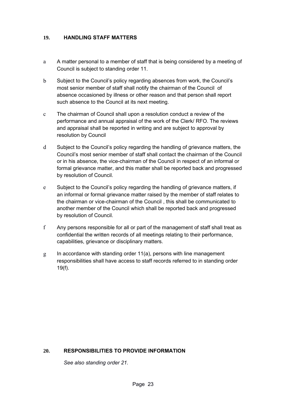#### <span id="page-22-0"></span>**19. HANDLING STAFF MATTERS**

- a A matter personal to a member of staff that is being considered by a meeting of Council is subject to standing order 11.
- b Subject to the Council's policy regarding absences from work, the Council's most senior member of staff shall notify the chairman of the Council of absence occasioned by illness or other reason and that person shall report such absence to the Council at its next meeting.
- c The chairman of Council shall upon a resolution conduct a review of the performance and annual appraisal of the work of the Clerk/ RFO. The reviews and appraisal shall be reported in writing and are subject to approval by resolution by Council
- d Subject to the Council's policy regarding the handling of grievance matters, the Council's most senior member of staff shall contact the chairman of the Council or in his absence, the vice-chairman of the Council in respect of an informal or formal grievance matter, and this matter shall be reported back and progressed by resolution of Council.
- e Subject to the Council's policy regarding the handling of grievance matters, if an informal or formal grievance matter raised by the member of staff relates to the chairman or vice-chairman of the Council , this shall be communicated to another member of the Council which shall be reported back and progressed by resolution of Council.
- f Any persons responsible for all or part of the management of staff shall treat as confidential the written records of all meetings relating to their performance, capabilities, grievance or disciplinary matters.
- $g$  In accordance with standing order 11(a), persons with line management responsibilities shall have access to staff records referred to in standing order 19(f).

# **20. RESPONSIBILITIES TO PROVIDE INFORMATION**

<span id="page-22-1"></span>*See also standing order 21.*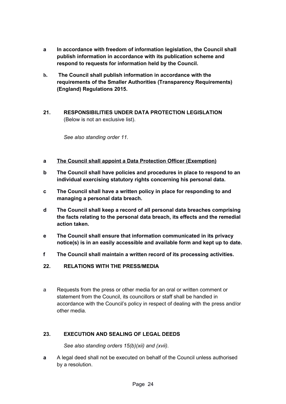- **a In accordance with freedom of information legislation, the Council shall publish information in accordance with its publication scheme and respond to requests for information held by the Council.**
- **b. The Council shall publish information in accordance with the requirements of the Smaller Authorities (Transparency Requirements) (England) Regulations 2015.**
- <span id="page-23-0"></span>**21. RESPONSIBILITIES UNDER DATA PROTECTION LEGISLATION**  (Below is not an exclusive list).

*See also standing order 11.*

- **a The Council shall appoint a Data Protection Officer (Exemption)**
- **b The Council shall have policies and procedures in place to respond to an individual exercising statutory rights concerning his personal data.**
- **c The Council shall have a written policy in place for responding to and managing a personal data breach.**
- **d The Council shall keep a record of all personal data breaches comprising the facts relating to the personal data breach, its effects and the remedial action taken.**
- **e The Council shall ensure that information communicated in its privacy notice(s) is in an easily accessible and available form and kept up to date.**
- **f The Council shall maintain a written record of its processing activities.**
- <span id="page-23-2"></span>**22. RELATIONS WITH THE PRESS/MEDIA**
- a Requests from the press or other media for an oral or written comment or statement from the Council, its councillors or staff shall be handled in accordance with the Council's policy in respect of dealing with the press and/or other media.

#### **23. EXECUTION AND SEALING OF LEGAL DEEDS**

<span id="page-23-1"></span>*See also standing orders 15(b)(xii) and (xvii).*

**a** A legal deed shall not be executed on behalf of the Council unless authorised by a resolution.